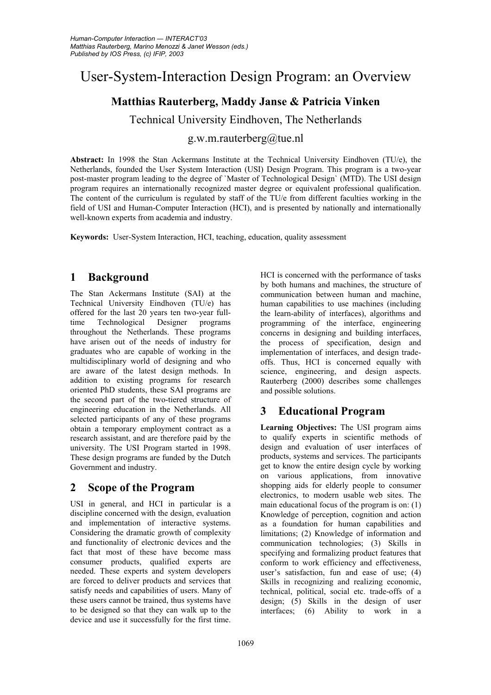# User-System-Interaction Design Program: an Overview

## **Matthias Rauterberg, Maddy Janse & Patricia Vinken**

Technical University Eindhoven, The Netherlands

g.w.m.rauterberg@tue.nl

**Abstract:** In 1998 the Stan Ackermans Institute at the Technical University Eindhoven (TU/e), the Netherlands, founded the User System Interaction (USI) Design Program. This program is a two-year post-master program leading to the degree of `Master of Technological Design` (MTD). The USI design program requires an internationally recognized master degree or equivalent professional qualification. The content of the curriculum is regulated by staff of the TU/e from different faculties working in the field of USI and Human-Computer Interaction (HCI), and is presented by nationally and internationally well-known experts from academia and industry.

**Keywords:** User-System Interaction, HCI, teaching, education, quality assessment

#### **1 Background**

The Stan Ackermans Institute (SAI) at the Technical University Eindhoven (TU/e) has offered for the last 20 years ten two-year fulltime Technological Designer programs throughout the Netherlands. These programs have arisen out of the needs of industry for graduates who are capable of working in the multidisciplinary world of designing and who are aware of the latest design methods. In addition to existing programs for research oriented PhD students, these SAI programs are the second part of the two-tiered structure of engineering education in the Netherlands. All selected participants of any of these programs obtain a temporary employment contract as a research assistant, and are therefore paid by the university. The USI Program started in 1998. These design programs are funded by the Dutch Government and industry.

#### **2 Scope of the Program**

USI in general, and HCI in particular is a discipline concerned with the design, evaluation and implementation of interactive systems. Considering the dramatic growth of complexity and functionality of electronic devices and the fact that most of these have become mass consumer products, qualified experts are needed. These experts and system developers are forced to deliver products and services that satisfy needs and capabilities of users. Many of these users cannot be trained, thus systems have to be designed so that they can walk up to the device and use it successfully for the first time.

HCI is concerned with the performance of tasks by both humans and machines, the structure of communication between human and machine, human capabilities to use machines (including the learn-ability of interfaces), algorithms and programming of the interface, engineering concerns in designing and building interfaces, the process of specification, design and implementation of interfaces, and design tradeoffs. Thus, HCI is concerned equally with science, engineering, and design aspects. Rauterberg (2000) describes some challenges and possible solutions.

## **3 Educational Program**

**Learning Objectives:** The USI program aims to qualify experts in scientific methods of design and evaluation of user interfaces of products, systems and services. The participants get to know the entire design cycle by working on various applications, from innovative shopping aids for elderly people to consumer electronics, to modern usable web sites. The main educational focus of the program is on: (1) Knowledge of perception, cognition and action as a foundation for human capabilities and limitations; (2) Knowledge of information and communication technologies; (3) Skills in specifying and formalizing product features that conform to work efficiency and effectiveness, user's satisfaction, fun and ease of use; (4) Skills in recognizing and realizing economic, technical, political, social etc. trade-offs of a design; (5) Skills in the design of user interfaces; (6) Ability to work in a